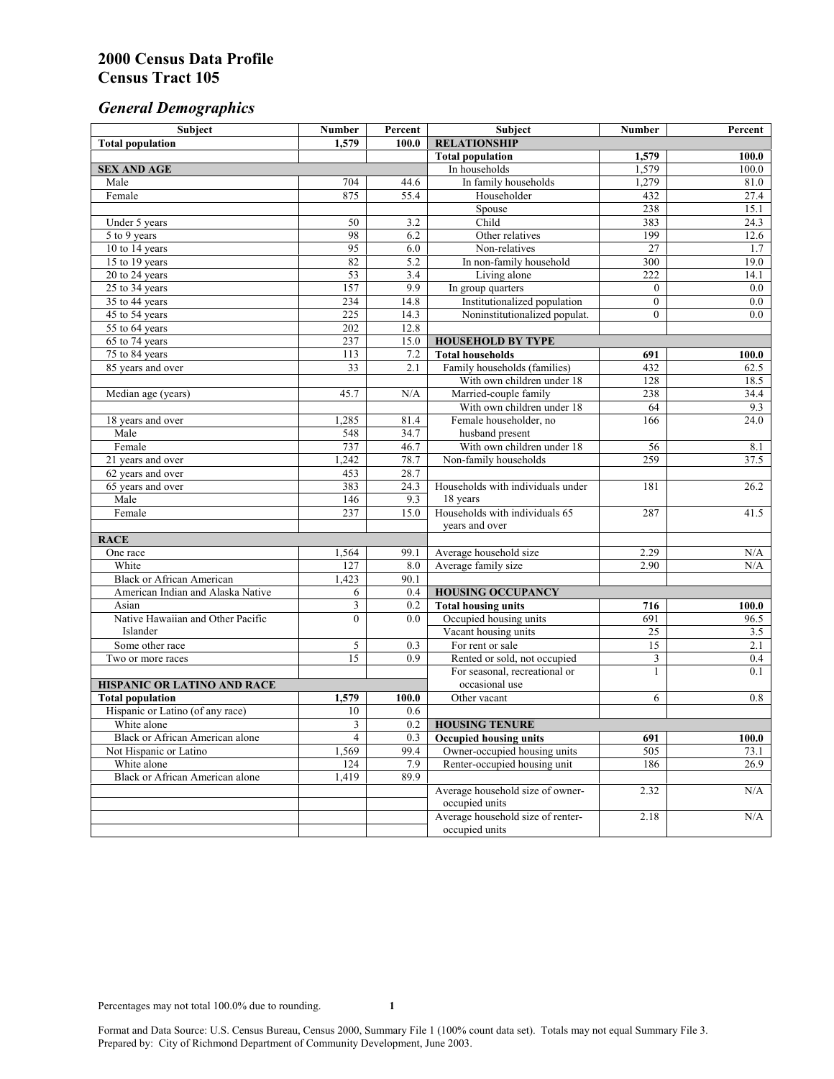# *General Demographics*

| Subject                                | <b>Number</b>   | Percent | Subject                                             | <b>Number</b>  | Percent            |
|----------------------------------------|-----------------|---------|-----------------------------------------------------|----------------|--------------------|
| <b>Total population</b>                | 1,579           | 100.0   | <b>RELATIONSHIP</b>                                 |                |                    |
|                                        |                 |         | <b>Total population</b>                             | 1,579          | $\overline{100.0}$ |
| <b>SEX AND AGE</b>                     |                 |         | In households                                       | 1,579          | 100.0              |
| Male                                   | 704             | 44.6    | In family households                                | 1,279          | 81.0               |
| Female                                 | 875             | 55.4    | Householder                                         | 432            | 27.4               |
|                                        |                 |         | Spouse                                              | 238            | 15.1               |
| Under 5 years                          | 50              | 3.2     | Child                                               | 383            | 24.3               |
| 5 to 9 years                           | 98              | 6.2     | Other relatives                                     | 199            | 12.6               |
| 10 to 14 years                         | 95              | 6.0     | Non-relatives                                       | 27             | 1.7                |
| 15 to 19 years                         | 82              | 5.2     | In non-family household                             | 300            | 19.0               |
| 20 to 24 years                         | 53              | 3.4     | Living alone                                        | 222            | 14.1               |
| 25 to 34 years                         | 157             | 9.9     | In group quarters                                   | $\overline{0}$ | 0.0                |
| 35 to 44 years                         | 234             | 14.8    | Institutionalized population                        | $\mathbf{0}$   | 0.0                |
| 45 to 54 years                         | 225             | 14.3    | Noninstitutionalized populat.                       | $\overline{0}$ | 0.0                |
| 55 to 64 years                         | 202             | 12.8    |                                                     |                |                    |
| 65 to 74 years                         | 237             | 15.0    | <b>HOUSEHOLD BY TYPE</b>                            |                |                    |
| 75 to 84 years                         | 113             | 7.2     | <b>Total households</b>                             | 691            | 100.0              |
| 85 years and over                      | $\overline{33}$ | 2.1     | Family households (families)                        | 432            | 62.5               |
| Median age (years)                     | 45.7            | N/A     | With own children under 18<br>Married-couple family | 128<br>238     | 18.5               |
|                                        |                 |         | With own children under 18                          | 64             | 34.4<br>9.3        |
|                                        | 1,285           | 81.4    | Female householder, no                              | 166            | 24.0               |
| 18 years and over<br>Male              | 548             | 34.7    | husband present                                     |                |                    |
| Female                                 | 737             | 46.7    | With own children under 18                          | 56             | 8.1                |
| 21 years and over                      | 1,242           | 78.7    | Non-family households                               | 259            | 37.5               |
| 62 years and over                      | 453             | 28.7    |                                                     |                |                    |
| 65 years and over                      | 383             | 24.3    | Households with individuals under                   | 181            | 26.2               |
| Male                                   | 146             | 9.3     | 18 years                                            |                |                    |
| Female                                 | 237             | 15.0    | Households with individuals 65                      | 287            | 41.5               |
|                                        |                 |         | years and over                                      |                |                    |
| <b>RACE</b>                            |                 |         |                                                     |                |                    |
| One race                               | 1,564           | 99.1    | Average household size                              | 2.29           | $\rm N/A$          |
| White                                  | 127             | 8.0     | Average family size                                 | 2.90           | N/A                |
| <b>Black or African American</b>       | 1,423           | 90.1    |                                                     |                |                    |
| American Indian and Alaska Native      | 6               | 0.4     | <b>HOUSING OCCUPANCY</b>                            |                |                    |
| Asian                                  | 3               | 0.2     | <b>Total housing units</b>                          | 716            | 100.0              |
| Native Hawaiian and Other Pacific      | $\mathbf{0}$    | 0.0     | Occupied housing units                              | 691            | 96.5               |
| Islander                               |                 |         | Vacant housing units                                | 25             | 3.5                |
| Some other race                        | 5               | 0.3     | For rent or sale                                    | 15             | 2.1                |
| Two or more races                      | $\overline{15}$ | 0.9     | Rented or sold, not occupied                        | 3              | 0.4                |
|                                        |                 |         | For seasonal, recreational or                       | 1              | 0.1                |
| HISPANIC OR LATINO AND RACE            |                 |         | occasional use                                      |                |                    |
| <b>Total population</b>                | 1,579           | 100.0   | Other vacant                                        | 6              | 0.8                |
| Hispanic or Latino (of any race)       | 10              | 0.6     |                                                     |                |                    |
| White alone                            | 3               | 0.2     | <b>HOUSING TENURE</b>                               |                |                    |
| Black or African American alone        | 4               | 0.3     | Occupied housing units                              | 691            | 100.0              |
| Not Hispanic or Latino                 | 1,569           | 99.4    | Owner-occupied housing units                        | 505            | 73.1               |
| White alone                            | 124             | 7.9     | Renter-occupied housing unit                        | 186            | 26.9               |
| <b>Black or African American alone</b> | 1,419           | 89.9    |                                                     |                |                    |
|                                        |                 |         | Average household size of owner-                    | 2.32           | N/A                |
|                                        |                 |         | occupied units                                      |                |                    |
|                                        |                 |         | Average household size of renter-                   | 2.18           | N/A                |
|                                        |                 |         | occupied units                                      |                |                    |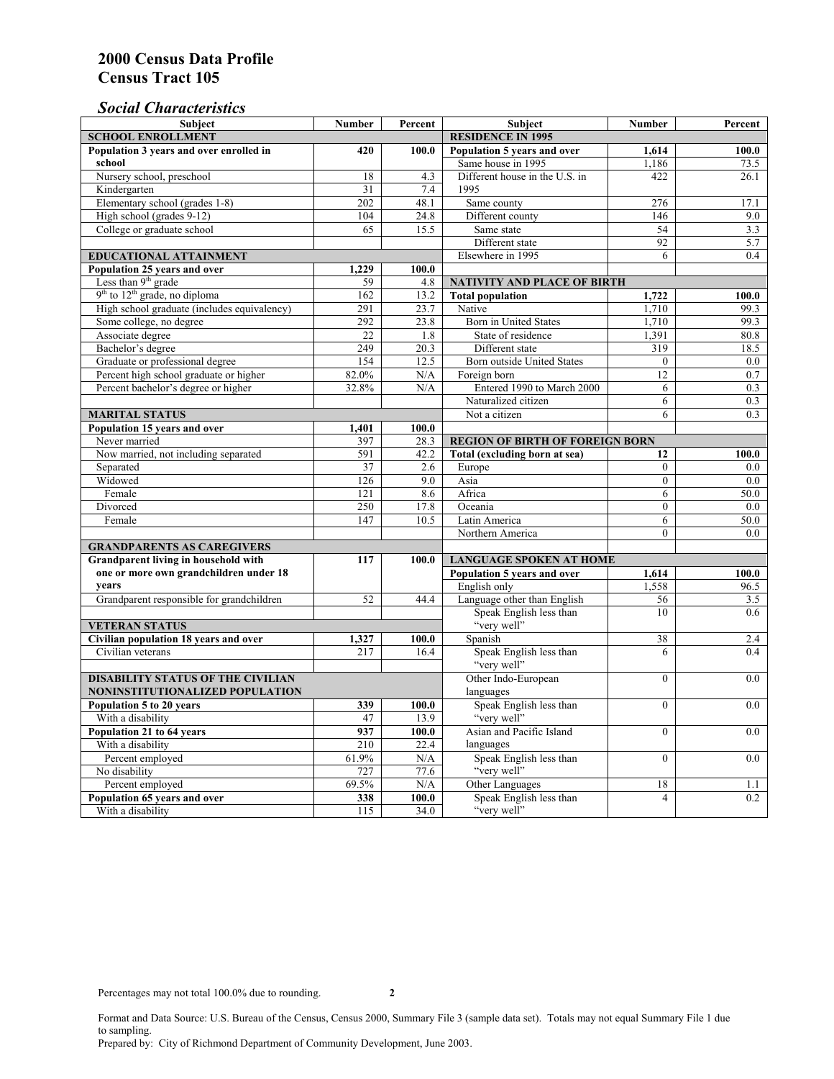## *Social Characteristics*

| <b>Subject</b>                              | <b>Number</b>                  | Percent  | <b>Subject</b>                         | <b>Number</b>  | Percent |
|---------------------------------------------|--------------------------------|----------|----------------------------------------|----------------|---------|
| <b>SCHOOL ENROLLMENT</b>                    | <b>RESIDENCE IN 1995</b>       |          |                                        |                |         |
| Population 3 years and over enrolled in     | 420                            | 100.0    | Population 5 years and over            | 1,614          | 100.0   |
| school                                      |                                |          | Same house in 1995                     | 1,186          | 73.5    |
| Nursery school, preschool                   | 18                             | 4.3      | Different house in the U.S. in         | 422            | 26.1    |
| Kindergarten                                | 31                             | 7.4      | 1995                                   |                |         |
| Elementary school (grades 1-8)              | 202                            | 48.1     | Same county                            | 276            | 17.1    |
| High school (grades 9-12)                   | 104                            | 24.8     | Different county                       | 146            | 9.0     |
| College or graduate school                  | 65                             | 15.5     | Same state                             | 54             | 3.3     |
|                                             |                                |          | Different state                        | 92             | 5.7     |
| EDUCATIONAL ATTAINMENT                      |                                |          | Elsewhere in 1995                      | 6              | 0.4     |
| Population 25 years and over                | 1,229                          | 100.0    |                                        |                |         |
| Less than 9 <sup>th</sup> grade             | 59                             | 4.8      | <b>NATIVITY AND PLACE OF BIRTH</b>     |                |         |
| $9th$ to $12th$ grade, no diploma           | 162                            | 13.2     | <b>Total population</b>                | 1,722          | 100.0   |
| High school graduate (includes equivalency) | 291                            | 23.7     | Native                                 | 1.710          | 99.3    |
| Some college, no degree                     | 292                            | 23.8     | Born in United States                  | 1,710          | 99.3    |
| Associate degree                            | 22                             | 1.8      | State of residence                     | 1,391          | 80.8    |
| Bachelor's degree                           | 249                            | 20.3     | Different state                        | 319            | 18.5    |
| Graduate or professional degree             | 154                            | 12.5     | <b>Born outside United States</b>      | $\mathbf{0}$   | $0.0\,$ |
| Percent high school graduate or higher      | 82.0%                          | N/A      | Foreign born                           | 12             | 0.7     |
| Percent bachelor's degree or higher         | 32.8%                          | N/A      | Entered 1990 to March 2000             | 6              | 0.3     |
|                                             |                                |          | Naturalized citizen                    | 6              | 0.3     |
| <b>MARITAL STATUS</b>                       |                                |          | Not a citizen                          | 6              | 0.3     |
| Population 15 years and over                | 1,401                          | 100.0    |                                        |                |         |
| Never married                               | 397                            | 28.3     | <b>REGION OF BIRTH OF FOREIGN BORN</b> |                |         |
| Now married, not including separated        | 591                            | 42.2     | Total (excluding born at sea)          | 12             | 100.0   |
| Separated                                   | 37                             | 2.6      | Europe                                 | $\overline{0}$ | 0.0     |
| Widowed                                     | 126                            | 9.0      | Asia                                   | $\Omega$       | 0.0     |
| Female                                      | 121                            | 8.6      | Africa                                 | 6              | 50.0    |
| Divorced                                    | 250                            | 17.8     | Oceania                                | $\mathbf{0}$   | 0.0     |
| Female                                      | 147                            | 10.5     | Latin America                          | 6              | 50.0    |
|                                             |                                |          | Northern America                       | $\theta$       | 0.0     |
| <b>GRANDPARENTS AS CAREGIVERS</b>           |                                |          |                                        |                |         |
| Grandparent living in household with        | <b>LANGUAGE SPOKEN AT HOME</b> |          |                                        |                |         |
| one or more own grandchildren under 18      |                                |          | Population 5 years and over            | 1,614          | 100.0   |
| years                                       |                                |          | English only                           | 1,558          | 96.5    |
| Grandparent responsible for grandchildren   | 52                             | 44.4     | Language other than English            | 56             | 3.5     |
|                                             |                                |          | Speak English less than                | 10             | 0.6     |
| <b>VETERAN STATUS</b>                       |                                |          | "very well"                            |                |         |
| Civilian population 18 years and over       | 1,327                          | 100.0    | Spanish                                | 38             | 2.4     |
| Civilian veterans                           | 217                            | 16.4     | Speak English less than                | 6              | 0.4     |
|                                             |                                |          | "very well"                            |                |         |
| <b>DISABILITY STATUS OF THE CIVILIAN</b>    | Other Indo-European            | $\theta$ | 0.0                                    |                |         |
| NONINSTITUTIONALIZED POPULATION             | languages                      |          |                                        |                |         |
| Population 5 to 20 years                    | 339                            | 100.0    | Speak English less than                | $\theta$       | 0.0     |
| With a disability                           | 47                             | 13.9     | "very well"                            |                |         |
| Population 21 to 64 years                   | 937                            | 100.0    | Asian and Pacific Island               | $\theta$       | 0.0     |
| With a disability                           | 210                            | 22.4     | languages                              |                |         |
| Percent employed                            | 61.9%                          | N/A      | Speak English less than                | $\mathbf{0}$   | 0.0     |
| No disability                               | 727                            | 77.6     | "very well"                            |                |         |
| Percent employed                            | 69.5%                          | N/A      | Other Languages                        | 18             | 1.1     |
| Population 65 years and over                | 338                            | 100.0    | Speak English less than                | 4              | 0.2     |
| With a disability                           | 115                            | 34.0     | "very well"                            |                |         |

Format and Data Source: U.S. Bureau of the Census, Census 2000, Summary File 3 (sample data set). Totals may not equal Summary File 1 due to sampling.

Prepared by: City of Richmond Department of Community Development, June 2003.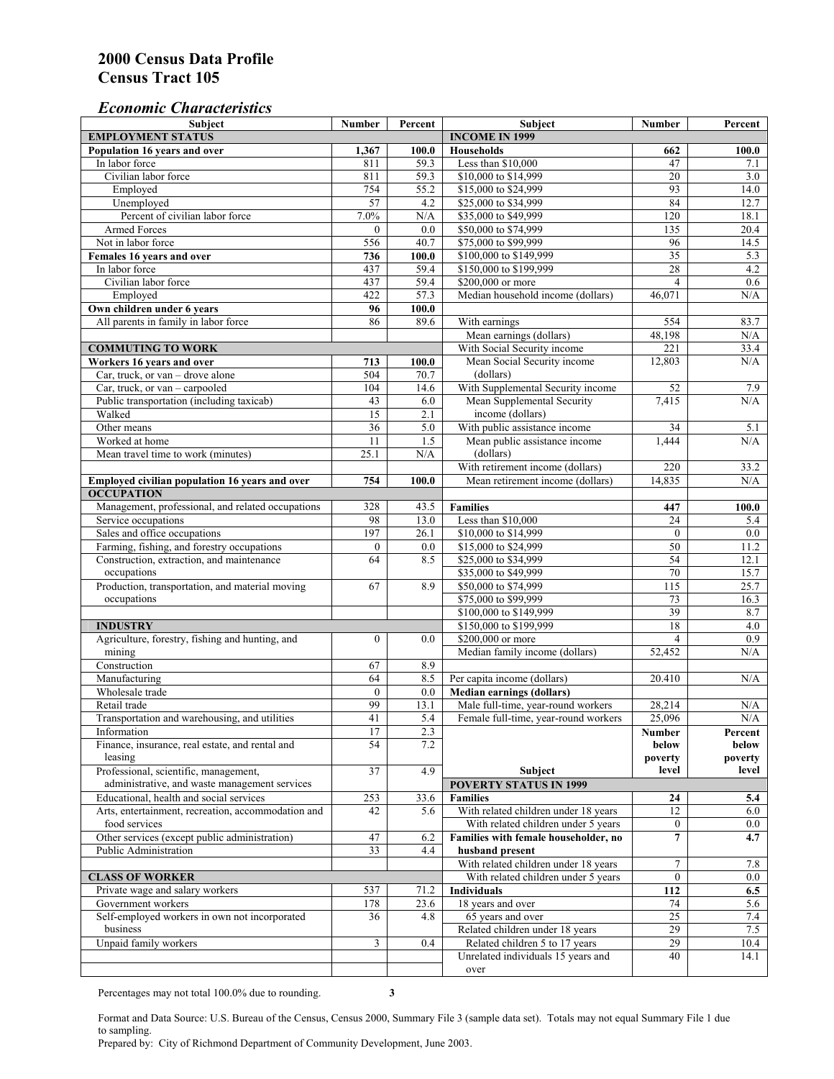#### *Economic Characteristics*

| <b>Subject</b>                                     | Number           | Percent   | Subject                              | Number           | Percent |
|----------------------------------------------------|------------------|-----------|--------------------------------------|------------------|---------|
| <b>EMPLOYMENT STATUS</b>                           |                  |           | <b>INCOME IN 1999</b>                |                  |         |
| Population 16 years and over                       | 1,367            | 100.0     | <b>Households</b>                    | 662              | 100.0   |
| In labor force                                     | 811              | 59.3      | Less than \$10,000                   | 47               | 7.1     |
| Civilian labor force                               | 811              | 59.3      | \$10,000 to \$14,999                 | 20               | 3.0     |
| Employed                                           | 754              | 55.2      | \$15,000 to \$24,999                 | 93               | 14.0    |
| Unemployed                                         | 57               | 4.2       | \$25,000 to \$34,999                 | 84               | 12.7    |
| Percent of civilian labor force                    | 7.0%             | $\rm N/A$ | \$35,000 to \$49,999                 | 120              | 18.1    |
| Armed Forces                                       | $\mathbf{0}$     | 0.0       | \$50,000 to \$74,999                 | 135              | 20.4    |
| Not in labor force                                 | 556              | 40.7      | \$75,000 to \$99,999                 | 96               | 14.5    |
| Females 16 years and over                          | 736              | 100.0     | \$100,000 to \$149,999               | $\overline{35}$  | 5.3     |
| In labor force                                     | 437              | 59.4      | \$150,000 to \$199,999               | 28               | 4.2     |
| Civilian labor force                               | 437              | 59.4      | \$200,000 or more                    | $\overline{4}$   | 0.6     |
| Employed                                           | 422              | 57.3      | Median household income (dollars)    | 46,071           | N/A     |
| Own children under 6 years                         | 96               | 100.0     |                                      |                  |         |
| All parents in family in labor force               | 86               | 89.6      | With earnings                        | 554              | 83.7    |
|                                                    |                  |           | Mean earnings (dollars)              | 48,198           | N/A     |
| <b>COMMUTING TO WORK</b>                           |                  |           | With Social Security income          | 221              | 33.4    |
| Workers 16 years and over                          | 713              | 100.0     | Mean Social Security income          | 12,803           | N/A     |
| Car, truck, or van – drove alone                   | 504              | 70.7      | (dollars)                            |                  |         |
| Car, truck, or van - carpooled                     | 104              | 14.6      | With Supplemental Security income    | 52               | 7.9     |
| Public transportation (including taxicab)          | 43               | 6.0       | Mean Supplemental Security           | 7,415            | N/A     |
| Walked                                             | 15               | 2.1       | income (dollars)                     |                  |         |
| Other means                                        | $\overline{36}$  | 5.0       | With public assistance income        | 34               | 5.1     |
| Worked at home                                     | 11               | 1.5       | Mean public assistance income        | 1,444            | N/A     |
| Mean travel time to work (minutes)                 | 25.1             | N/A       | (dollars)                            |                  |         |
|                                                    |                  |           | With retirement income (dollars)     | $\overline{220}$ | 33.2    |
| Employed civilian population 16 years and over     | 754              | 100.0     | Mean retirement income (dollars)     | 14,835           | N/A     |
| <b>OCCUPATION</b>                                  |                  |           |                                      |                  |         |
| Management, professional, and related occupations  | 328              | 43.5      | <b>Families</b>                      | 447              | 100.0   |
| Service occupations                                | 98               | 13.0      | Less than \$10,000                   | 24               | 5.4     |
| Sales and office occupations                       | 197              | 26.1      | \$10,000 to \$14,999                 | $\mathbf{0}$     | 0.0     |
| Farming, fishing, and forestry occupations         | $\boldsymbol{0}$ | 0.0       | \$15,000 to \$24,999                 | 50               | 11.2    |
| Construction, extraction, and maintenance          | 64               | 8.5       | \$25,000 to \$34,999                 | 54               | 12.1    |
| occupations                                        |                  |           | \$35,000 to \$49,999                 | 70               | 15.7    |
| Production, transportation, and material moving    | 67               | 8.9       | \$50,000 to \$74,999                 | 115              | 25.7    |
| occupations                                        |                  |           | \$75,000 to \$99,999                 | 73               | 16.3    |
|                                                    |                  |           | \$100,000 to \$149,999               | 39               | 8.7     |
| <b>INDUSTRY</b>                                    |                  |           | \$150,000 to \$199,999               | 18               | 4.0     |
| Agriculture, forestry, fishing and hunting, and    | $\boldsymbol{0}$ | 0.0       | \$200,000 or more                    | $\overline{4}$   | 0.9     |
| mining                                             |                  |           | Median family income (dollars)       | 52,452           | N/A     |
| Construction                                       | 67               | 8.9       |                                      |                  |         |
| Manufacturing                                      | 64               | 8.5       | Per capita income (dollars)          | 20.410           | N/A     |
| Wholesale trade                                    | $\mathbf{0}$     | 0.0       | <b>Median earnings (dollars)</b>     |                  |         |
| Retail trade                                       | 99               | 13.1      | Male full-time, year-round workers   | 28,214           | N/A     |
| Transportation and warehousing, and utilities      | 41               | 5.4       | Female full-time, year-round workers | 25,096           | N/A     |
| Information                                        | 17               | 2.3       |                                      | Number           | Percent |
| Finance, insurance, real estate, and rental and    | 54               | 7.2       |                                      | below            | below   |
| leasing                                            |                  |           |                                      | poverty          | poverty |
| Professional, scientific, management,              | 37               | 4.9       | Subject                              | level            | level   |
| administrative, and waste management services      |                  |           | <b>POVERTY STATUS IN 1999</b>        |                  |         |
| Educational, health and social services            | 253              | 33.6      | <b>Families</b>                      | 24               | 5.4     |
| Arts, entertainment, recreation, accommodation and | 42               | 5.6       | With related children under 18 years | 12               | 6.0     |
| food services                                      |                  |           | With related children under 5 years  | $\mathbf{0}$     | 0.0     |
| Other services (except public administration)      | 47               | 6.2       | Families with female householder, no | $\overline{7}$   | 4.7     |
| Public Administration                              | 33               | 4.4       | husband present                      |                  |         |
|                                                    |                  |           | With related children under 18 years | 7                | 7.8     |
| <b>CLASS OF WORKER</b>                             |                  |           | With related children under 5 years  | $\mathbf{0}$     | 0.0     |
| Private wage and salary workers                    | 537              | 71.2      | Individuals                          | 112              | 6.5     |
| Government workers                                 | 178              | 23.6      | 18 years and over                    | 74               | 5.6     |
| Self-employed workers in own not incorporated      | 36               | 4.8       | 65 years and over                    | $\overline{25}$  | 7.4     |
| business                                           |                  |           | Related children under 18 years      | 29               | 7.5     |
| Unpaid family workers                              | $\mathfrak{Z}$   | 0.4       | Related children 5 to 17 years       | 29               | 10.4    |
|                                                    |                  |           | Unrelated individuals 15 years and   | 40               | 14.1    |
|                                                    |                  |           | over                                 |                  |         |
|                                                    |                  |           |                                      |                  |         |

Percentages may not total 100.0% due to rounding. **3** 

Format and Data Source: U.S. Bureau of the Census, Census 2000, Summary File 3 (sample data set). Totals may not equal Summary File 1 due to sampling.

Prepared by: City of Richmond Department of Community Development, June 2003.